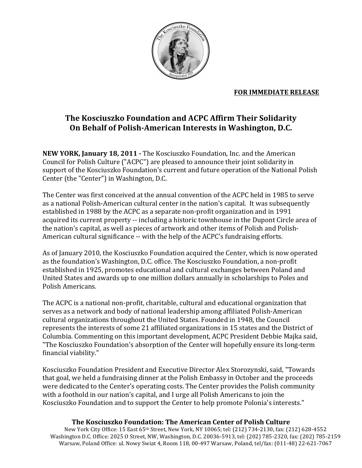

## **FOR IMMEDIATE RELEASE**

## The Kosciuszko Foundation and ACPC Affirm Their Solidarity On Behalf of Polish-American Interests in Washington, D.C.

NEW YORK, January 18, 2011 - The Kosciuszko Foundation, Inc. and the American Council for Polish Culture ("ACPC") are pleased to announce their joint solidarity in support of the Kosciuszko Foundation's current and future operation of the National Polish Center (the "Center") in Washington, D.C.

The Center was first conceived at the annual convention of the ACPC held in 1985 to serve as a national Polish-American cultural center in the nation's capital. It was subsequently established in 1988 by the ACPC as a separate non-profit organization and in 1991 acquired its current property -- including a historic townhouse in the Dupont Circle area of the nation's capital, as well as pieces of artwork and other items of Polish and Polish-American cultural significance -- with the help of the ACPC's fundraising efforts.

As of January 2010, the Kosciuszko Foundation acquired the Center, which is now operated as the foundation's Washington, D.C. office. The Kosciuszko Foundation, a non-profit established in 1925, promotes educational and cultural exchanges between Poland and United States and awards up to one million dollars annually in scholarships to Poles and Polish Americans.

The ACPC is a national non-profit, charitable, cultural and educational organization that serves as a network and body of national leadership among affiliated Polish-American cultural organizations throughout the United States. Founded in 1948, the Council represents the interests of some 21 affiliated organizations in 15 states and the District of Columbia. Commenting on this important development, ACPC President Debbie Majka said, "The Kosciuszko Foundation's absorption of the Center will hopefully ensure its long-term financial viability."

Kosciuszko Foundation President and Executive Director Alex Storozynski, said, "Towards" that goal, we held a fundraising dinner at the Polish Embassy in October and the proceeds were dedicated to the Center's operating costs. The Center provides the Polish community with a foothold in our nation's capital, and I urge all Polish Americans to join the Kosciuszko Foundation and to support the Center to help promote Polonia's interests."

## The Kosciuszko Foundation: The American Center of Polish Culture

New York City Office: 15 East 65th Street, New York, NY 10065; tel: (212) 734-2130, fax: (212) 628-4552 Washington D.C. Office: 2025 O Street, NW, Washington, D.C. 20036-5913, tel: (202) 785-2320, fax: (202) 785-2159 Warsaw, Poland Office: ul. Nowy Swiat 4, Room 118, 00-497 Warsaw, Poland, tel/fax: (011-48) 22-621-7067